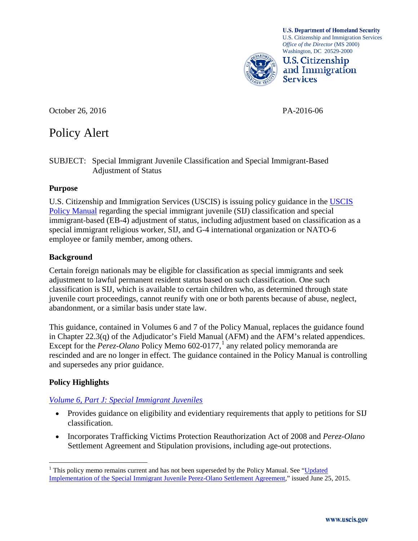**U.S. Department of Homeland Security** U.S. Citizenship and Immigration Services *Office of the Director* (MS 2000) Washington, DC 20529-2000



October 26, 2016 PA-2016-06

# Policy Alert

#### SUBJECT: Special Immigrant Juvenile Classification and Special Immigrant-Based Adjustment of Status

#### **Purpose**

U.S. Citizenship and Immigration Services (USCIS) is issuing policy guidance in the [USCIS](http://www.uscis.gov/policymanual/HTML/PolicyManual-Volume6.html)  [Policy Manual](http://www.uscis.gov/policymanual/HTML/PolicyManual-Volume6.html) regarding the special immigrant juvenile (SIJ) classification and special immigrant-based (EB-4) adjustment of status, including adjustment based on classification as a special immigrant religious worker, SIJ, and G-4 international organization or NATO-6 employee or family member, among others.

### **Background**

Certain foreign nationals may be eligible for classification as special immigrants and seek adjustment to lawful permanent resident status based on such classification. One such classification is SIJ, which is available to certain children who, as determined through state juvenile court proceedings, cannot reunify with one or both parents because of abuse, neglect, abandonment, or a similar basis under state law.

This guidance, contained in Volumes 6 and 7 of the Policy Manual, replaces the guidance found in Chapter 22.3(q) of the Adjudicator's Field Manual (AFM) and the AFM's related appendices. Except for the *Perez-Olano* Policy Memo 602-0[1](#page-0-0)77,<sup>1</sup> any related policy memoranda are rescinded and are no longer in effect. The guidance contained in the Policy Manual is controlling and supersedes any prior guidance.

## **Policy Highlights**

## *[Volume 6, Part J: Special Immigrant Juveniles](https://www.uscis.gov/policymanual/HTML/PolicyManual-Volume6-PartJ.html)*

- Provides guidance on eligibility and evidentiary requirements that apply to petitions for SIJ classification.
- Incorporates Trafficking Victims Protection Reauthorization Act of 2008 and *Perez-Olano* Settlement Agreement and Stipulation provisions, including age-out protections.

<span id="page-0-0"></span> $1$  This policy memo remains current and has not been superseded by the Policy Manual. See "Updated" [Implementation of the Special Immigrant Juvenile Perez-Olano Settlement Agreement,](http://www.uscis.gov/sites/default/files/USCIS/Laws/Memoranda/2015/2015-0624_Perez-Olano_Settlement_Agreement_PM_Effective.pdf)" issued June 25, 2015.